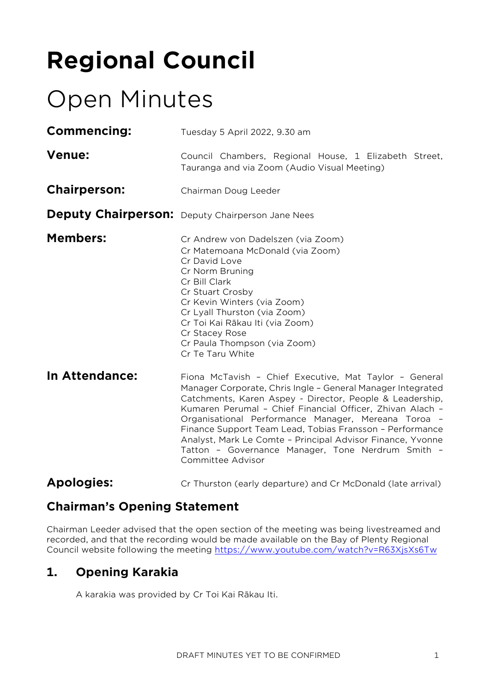# **Regional Council**

# Open Minutes

| <b>Commencing:</b>  | Tuesday 5 April 2022, 9.30 am                                                                                                                                                                                                                                                                                                                                                                                                                                                                             |  |  |
|---------------------|-----------------------------------------------------------------------------------------------------------------------------------------------------------------------------------------------------------------------------------------------------------------------------------------------------------------------------------------------------------------------------------------------------------------------------------------------------------------------------------------------------------|--|--|
| <b>Venue:</b>       | Council Chambers, Regional House, 1 Elizabeth Street,<br>Tauranga and via Zoom (Audio Visual Meeting)                                                                                                                                                                                                                                                                                                                                                                                                     |  |  |
| <b>Chairperson:</b> | Chairman Doug Leeder                                                                                                                                                                                                                                                                                                                                                                                                                                                                                      |  |  |
|                     | <b>Deputy Chairperson:</b> Deputy Chairperson Jane Nees                                                                                                                                                                                                                                                                                                                                                                                                                                                   |  |  |
| <b>Members:</b>     | Cr Andrew von Dadelszen (via Zoom)<br>Cr Matemoana McDonald (via Zoom)<br>Cr David Love<br>Cr Norm Bruning<br>Cr Bill Clark<br>Cr Stuart Crosby<br>Cr Kevin Winters (via Zoom)<br>Cr Lyall Thurston (via Zoom)<br>Cr Toi Kai Rākau Iti (via Zoom)<br>Cr Stacey Rose<br>Cr Paula Thompson (via Zoom)<br>Cr Te Taru White                                                                                                                                                                                   |  |  |
| In Attendance:      | Fiona McTavish - Chief Executive, Mat Taylor - General<br>Manager Corporate, Chris Ingle - General Manager Integrated<br>Catchments, Karen Aspey - Director, People & Leadership,<br>Kumaren Perumal - Chief Financial Officer, Zhivan Alach -<br>Organisational Performance Manager, Mereana Toroa -<br>Finance Support Team Lead, Tobias Fransson - Performance<br>Analyst, Mark Le Comte - Principal Advisor Finance, Yvonne<br>Tatton - Governance Manager, Tone Nerdrum Smith -<br>Committee Advisor |  |  |
| <b>Apologies:</b>   | Cr Thurston (early departure) and Cr McDonald (late arrival)                                                                                                                                                                                                                                                                                                                                                                                                                                              |  |  |

## **Chairman's Opening Statement**

Chairman Leeder advised that the open section of the meeting was being livestreamed and recorded, and that the recording would be made available on the Bay of Plenty Regional Council website following the meeting <https://www.youtube.com/watch?v=R63XjsXs6Tw>

## **1. Opening Karakia**

A karakia was provided by Cr Toi Kai Rākau Iti.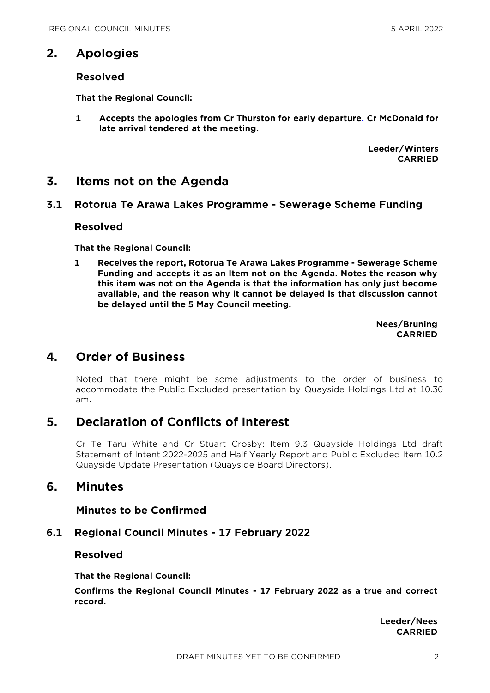## **2. Apologies**

#### **Resolved**

**That the Regional Council:**

**1 Accepts the apologies from Cr Thurston for early departure, Cr McDonald for late arrival tendered at the meeting.**

> **Leeder/Winters CARRIED**

## **3. Items not on the Agenda**

#### **3.1 Rotorua Te Arawa Lakes Programme - Sewerage Scheme Funding**

#### **Resolved**

**That the Regional Council:**

**1 Receives the report, Rotorua Te Arawa Lakes Programme - Sewerage Scheme Funding and accepts it as an Item not on the Agenda. Notes the reason why this item was not on the Agenda is that the information has only just become available, and the reason why it cannot be delayed is that discussion cannot be delayed until the 5 May Council meeting.**

> **Nees/Bruning CARRIED**

## **4. Order of Business**

Noted that there might be some adjustments to the order of business to accommodate the Public Excluded presentation by Quayside Holdings Ltd at 10.30 am.

## **5. Declaration of Conflicts of Interest**

Cr Te Taru White and Cr Stuart Crosby: Item 9.3 Quayside Holdings Ltd draft Statement of Intent 2022-2025 and Half Yearly Report and Public Excluded Item 10.2 Quayside Update Presentation (Quayside Board Directors).

## **6. Minutes**

#### **Minutes to be Confirmed**

#### **6.1 Regional Council Minutes - 17 February 2022**

#### **Resolved**

**That the Regional Council:**

**Confirms the Regional Council Minutes - 17 February 2022 as a true and correct record.**

> **Leeder/Nees CARRIED**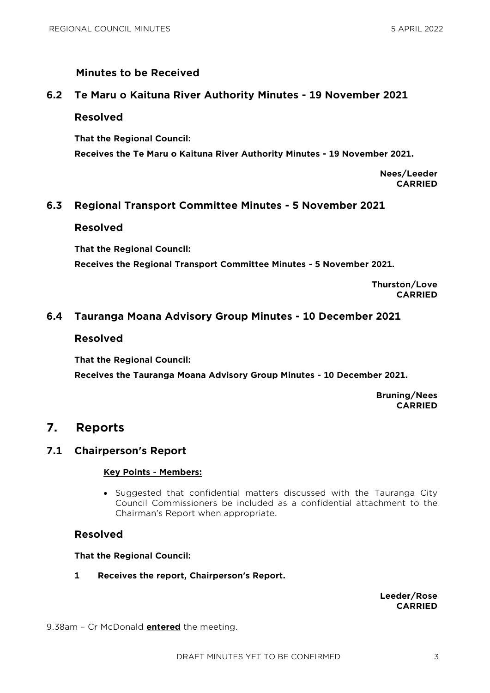#### **Minutes to be Received**

#### **6.2 Te Maru o Kaituna River Authority Minutes - 19 November 2021**

#### **Resolved**

**That the Regional Council: Receives the Te Maru o Kaituna River Authority Minutes - 19 November 2021.**

> **Nees/Leeder CARRIED**

#### **6.3 Regional Transport Committee Minutes - 5 November 2021**

#### **Resolved**

**That the Regional Council: Receives the Regional Transport Committee Minutes - 5 November 2021.**

> **Thurston/Love CARRIED**

#### **6.4 Tauranga Moana Advisory Group Minutes - 10 December 2021**

#### **Resolved**

**That the Regional Council:**

**Receives the Tauranga Moana Advisory Group Minutes - 10 December 2021.**

**Bruning/Nees CARRIED**

## **7. Reports**

#### **7.1 Chairperson's Report**

#### **Key Points - Members:**

 Suggested that confidential matters discussed with the Tauranga City Council Commissioners be included as a confidential attachment to the Chairman's Report when appropriate.

#### **Resolved**

**That the Regional Council:**

**1 Receives the report, Chairperson's Report.**

**Leeder/Rose CARRIED**

9.38am – Cr McDonald **entered** the meeting.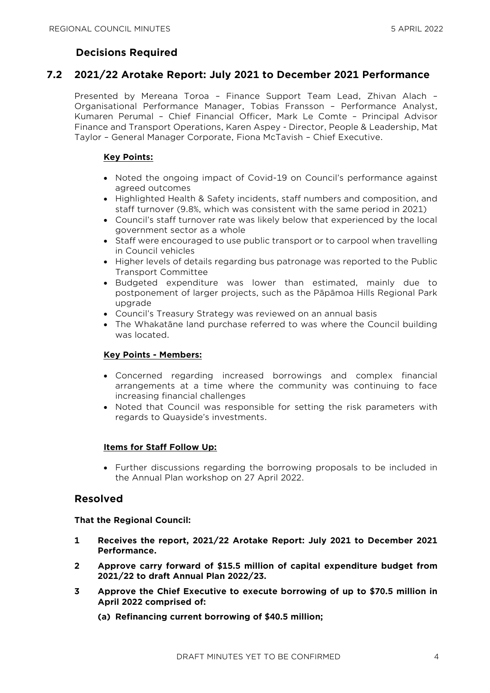#### **Decisions Required**

#### **7.2 2021/22 Arotake Report: July 2021 to December 2021 Performance**

Presented by Mereana Toroa – Finance Support Team Lead, Zhivan Alach – Organisational Performance Manager, Tobias Fransson – Performance Analyst, Kumaren Perumal – Chief Financial Officer, Mark Le Comte – Principal Advisor Finance and Transport Operations, Karen Aspey - Director, People & Leadership, Mat Taylor – General Manager Corporate, Fiona McTavish – Chief Executive.

#### **Key Points:**

- Noted the ongoing impact of Covid-19 on Council's performance against agreed outcomes
- Highlighted Health & Safety incidents, staff numbers and composition, and staff turnover (9.8%, which was consistent with the same period in 2021)
- Council's staff turnover rate was likely below that experienced by the local government sector as a whole
- Staff were encouraged to use public transport or to carpool when travelling in Council vehicles
- Higher levels of details regarding bus patronage was reported to the Public Transport Committee
- Budgeted expenditure was lower than estimated, mainly due to postponement of larger projects, such as the Pāpāmoa Hills Regional Park upgrade
- Council's Treasury Strategy was reviewed on an annual basis
- The Whakatāne land purchase referred to was where the Council building was located.

#### **Key Points - Members:**

- Concerned regarding increased borrowings and complex financial arrangements at a time where the community was continuing to face increasing financial challenges
- Noted that Council was responsible for setting the risk parameters with regards to Quayside's investments.

#### **Items for Staff Follow Up:**

• Further discussions regarding the borrowing proposals to be included in the Annual Plan workshop on 27 April 2022.

#### **Resolved**

**That the Regional Council:**

- **1 Receives the report, 2021/22 Arotake Report: July 2021 to December 2021 Performance.**
- **2 Approve carry forward of \$15.5 million of capital expenditure budget from 2021/22 to draft Annual Plan 2022/23.**
- **3 Approve the Chief Executive to execute borrowing of up to \$70.5 million in April 2022 comprised of:**
	- **(a) Refinancing current borrowing of \$40.5 million;**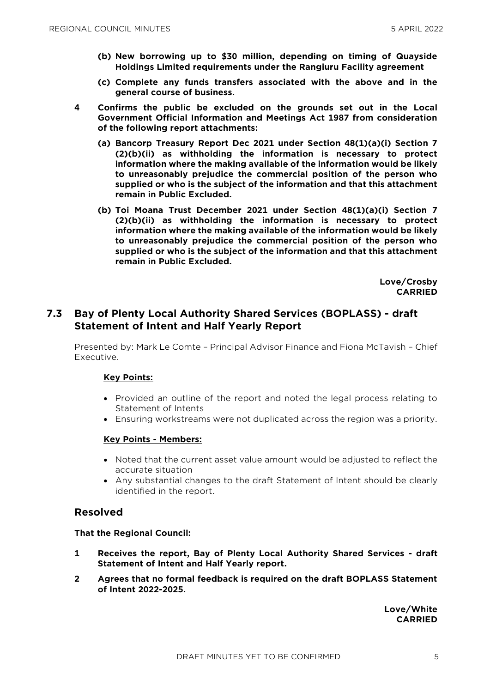- **(b) New borrowing up to \$30 million, depending on timing of Quayside Holdings Limited requirements under the Rangiuru Facility agreement**
- **(c) Complete any funds transfers associated with the above and in the general course of business.**
- **4 Confirms the public be excluded on the grounds set out in the Local Government Official Information and Meetings Act 1987 from consideration of the following report attachments:**
	- **(a) Bancorp Treasury Report Dec 2021 under Section 48(1)(a)(i) Section 7 (2)(b)(ii) as withholding the information is necessary to protect information where the making available of the information would be likely to unreasonably prejudice the commercial position of the person who supplied or who is the subject of the information and that this attachment remain in Public Excluded.**
	- **(b) Toi Moana Trust December 2021 under Section 48(1)(a)(i) Section 7 (2)(b)(ii) as withholding the information is necessary to protect information where the making available of the information would be likely to unreasonably prejudice the commercial position of the person who supplied or who is the subject of the information and that this attachment remain in Public Excluded.**

**Love/Crosby CARRIED**

#### **7.3 Bay of Plenty Local Authority Shared Services (BOPLASS) - draft Statement of Intent and Half Yearly Report**

Presented by: Mark Le Comte – Principal Advisor Finance and Fiona McTavish – Chief Executive.

#### **Key Points:**

- Provided an outline of the report and noted the legal process relating to Statement of Intents
- Ensuring workstreams were not duplicated across the region was a priority.

#### **Key Points - Members:**

- Noted that the current asset value amount would be adjusted to reflect the accurate situation
- Any substantial changes to the draft Statement of Intent should be clearly identified in the report.

#### **Resolved**

#### **That the Regional Council:**

- **1 Receives the report, Bay of Plenty Local Authority Shared Services - draft Statement of Intent and Half Yearly report.**
- **2 Agrees that no formal feedback is required on the draft BOPLASS Statement of Intent 2022-2025.**

**Love/White CARRIED**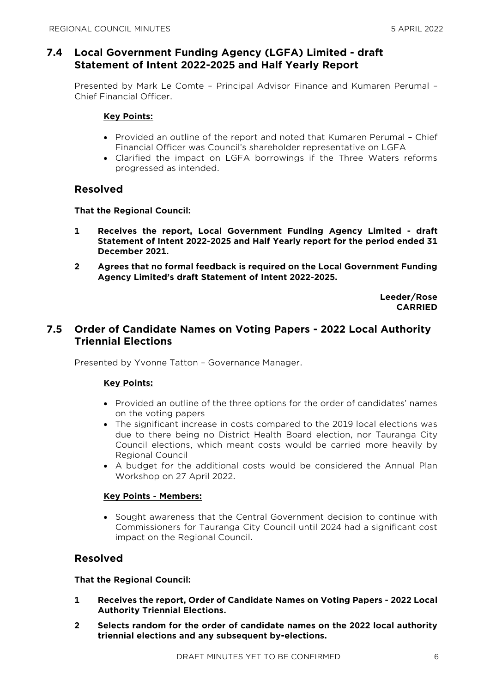#### **7.4 Local Government Funding Agency (LGFA) Limited - draft Statement of Intent 2022-2025 and Half Yearly Report**

Presented by Mark Le Comte – Principal Advisor Finance and Kumaren Perumal – Chief Financial Officer.

#### **Key Points:**

- Provided an outline of the report and noted that Kumaren Perumal Chief Financial Officer was Council's shareholder representative on LGFA
- Clarified the impact on LGFA borrowings if the Three Waters reforms progressed as intended.

#### **Resolved**

#### **That the Regional Council:**

- **1 Receives the report, Local Government Funding Agency Limited - draft Statement of Intent 2022-2025 and Half Yearly report for the period ended 31 December 2021.**
- **2 Agrees that no formal feedback is required on the Local Government Funding Agency Limited's draft Statement of Intent 2022-2025.**

**Leeder/Rose CARRIED**

#### **7.5 Order of Candidate Names on Voting Papers - 2022 Local Authority Triennial Elections**

Presented by Yvonne Tatton – Governance Manager.

#### **Key Points:**

- Provided an outline of the three options for the order of candidates' names on the voting papers
- The significant increase in costs compared to the 2019 local elections was due to there being no District Health Board election, nor Tauranga City Council elections, which meant costs would be carried more heavily by Regional Council
- A budget for the additional costs would be considered the Annual Plan Workshop on 27 April 2022.

#### **Key Points - Members:**

 Sought awareness that the Central Government decision to continue with Commissioners for Tauranga City Council until 2024 had a significant cost impact on the Regional Council.

#### **Resolved**

#### **That the Regional Council:**

- **1 Receives the report, Order of Candidate Names on Voting Papers - 2022 Local Authority Triennial Elections.**
- **2 Selects random for the order of candidate names on the 2022 local authority triennial elections and any subsequent by-elections.**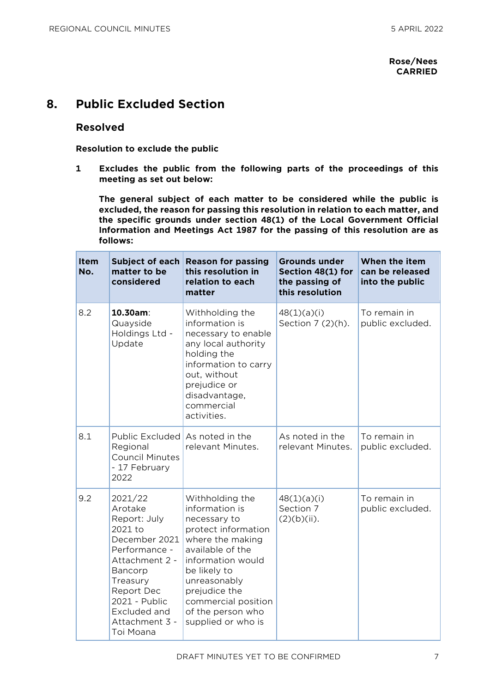## **8. Public Excluded Section**

#### **Resolved**

**Resolution to exclude the public**

**1 Excludes the public from the following parts of the proceedings of this meeting as set out below:**

**The general subject of each matter to be considered while the public is excluded, the reason for passing this resolution in relation to each matter, and the specific grounds under section 48(1) of the Local Government Official Information and Meetings Act 1987 for the passing of this resolution are as follows:**

| <b>Item</b><br>No. | matter to be<br>considered                                                                                                                                                                             | Subject of each Reason for passing<br>this resolution in<br>relation to each<br>matter                                                                                                                                                                   | <b>Grounds under</b><br>Section 48(1) for<br>the passing of<br>this resolution | When the item<br>can be released<br>into the public |
|--------------------|--------------------------------------------------------------------------------------------------------------------------------------------------------------------------------------------------------|----------------------------------------------------------------------------------------------------------------------------------------------------------------------------------------------------------------------------------------------------------|--------------------------------------------------------------------------------|-----------------------------------------------------|
| 8.2                | 10.30am:<br>Quayside<br>Holdings Ltd -<br>Update                                                                                                                                                       | Withholding the<br>information is<br>necessary to enable<br>any local authority<br>holding the<br>information to carry<br>out, without<br>prejudice or<br>disadvantage,<br>commercial<br>activities.                                                     | 48(1)(a)(i)<br>Section 7 (2)(h).                                               | To remain in<br>public excluded.                    |
| 8.1                | Public Excluded As noted in the<br>Regional<br><b>Council Minutes</b><br>- 17 February<br>2022                                                                                                         | relevant Minutes.                                                                                                                                                                                                                                        | As noted in the<br>relevant Minutes.                                           | To remain in<br>public excluded.                    |
| 9.2                | 2021/22<br>Arotake<br>Report: July<br>2021 to<br>December 2021<br>Performance -<br>Attachment 2 -<br>Bancorp<br>Treasury<br>Report Dec<br>2021 - Public<br>Excluded and<br>Attachment 3 -<br>Toi Moana | Withholding the<br>information is<br>necessary to<br>protect information<br>where the making<br>available of the<br>information would<br>be likely to<br>unreasonably<br>prejudice the<br>commercial position<br>of the person who<br>supplied or who is | 48(1)(a)(i)<br>Section 7<br>$(2)(b)(ii)$ .                                     | To remain in<br>public excluded.                    |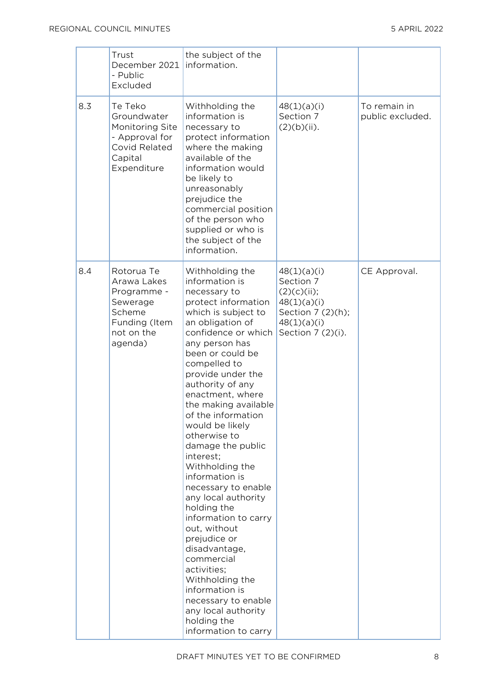|     | Trust<br>December 2021<br>- Public<br>Excluded                                                           | the subject of the<br>information.                                                                                                                                                                                                                                                                                                                                                                                                                                                                                                                                                                                                                                                                                 |                                                                                                                 |                                  |
|-----|----------------------------------------------------------------------------------------------------------|--------------------------------------------------------------------------------------------------------------------------------------------------------------------------------------------------------------------------------------------------------------------------------------------------------------------------------------------------------------------------------------------------------------------------------------------------------------------------------------------------------------------------------------------------------------------------------------------------------------------------------------------------------------------------------------------------------------------|-----------------------------------------------------------------------------------------------------------------|----------------------------------|
| 8.3 | Te Teko<br>Groundwater<br>Monitoring Site<br>- Approval for<br>Covid Related<br>Capital<br>Expenditure   | Withholding the<br>information is<br>necessary to<br>protect information<br>where the making<br>available of the<br>information would<br>be likely to<br>unreasonably<br>prejudice the<br>commercial position<br>of the person who<br>supplied or who is<br>the subject of the<br>information.                                                                                                                                                                                                                                                                                                                                                                                                                     | 48(1)(a)(i)<br>Section 7<br>$(2)(b)(ii)$ .                                                                      | To remain in<br>public excluded. |
| 8.4 | Rotorua Te<br>Arawa Lakes<br>Programme -<br>Sewerage<br>Scheme<br>Funding (Item<br>not on the<br>agenda) | Withholding the<br>information is<br>necessary to<br>protect information<br>which is subject to<br>an obligation of<br>confidence or which<br>any person has<br>been or could be<br>compelled to<br>provide under the<br>authority of any<br>enactment, where<br>the making available<br>of the information<br>would be likely<br>otherwise to<br>damage the public<br>interest;<br>Withholding the<br>information is<br>necessary to enable<br>any local authority<br>holding the<br>information to carry<br>out, without<br>prejudice or<br>disadvantage,<br>commercial<br>activities;<br>Withholding the<br>information is<br>necessary to enable<br>any local authority<br>holding the<br>information to carry | 48(1)(a)(i)<br>Section 7<br>(2)(c)(ii);<br>48(1)(a)(i)<br>Section 7 (2)(h);<br>48(1)(a)(i)<br>Section 7 (2)(i). | CE Approval.                     |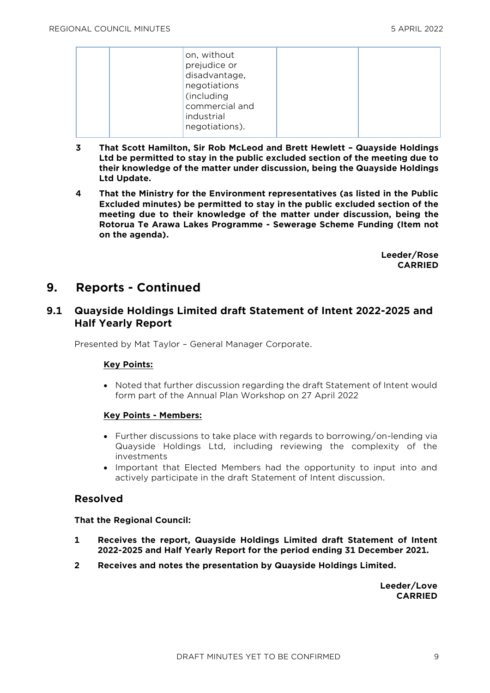| on, without<br>prejudice or<br>disadvantage,<br>negotiations<br>(including<br>commercial and |  |
|----------------------------------------------------------------------------------------------|--|
| industrial<br>negotiations).                                                                 |  |

- **3 That Scott Hamilton, Sir Rob McLeod and Brett Hewlett – Quayside Holdings Ltd be permitted to stay in the public excluded section of the meeting due to their knowledge of the matter under discussion, being the Quayside Holdings Ltd Update.**
- **4 That the Ministry for the Environment representatives (as listed in the Public Excluded minutes) be permitted to stay in the public excluded section of the meeting due to their knowledge of the matter under discussion, being the Rotorua Te Arawa Lakes Programme - Sewerage Scheme Funding (Item not on the agenda).**

**Leeder/Rose CARRIED**

## **9. Reports - Continued**

#### **9.1 Quayside Holdings Limited draft Statement of Intent 2022-2025 and Half Yearly Report**

Presented by Mat Taylor – General Manager Corporate.

#### **Key Points:**

 Noted that further discussion regarding the draft Statement of Intent would form part of the Annual Plan Workshop on 27 April 2022

#### **Key Points - Members:**

- Further discussions to take place with regards to borrowing/on-lending via Quayside Holdings Ltd, including reviewing the complexity of the investments
- Important that Elected Members had the opportunity to input into and actively participate in the draft Statement of Intent discussion.

#### **Resolved**

#### **That the Regional Council:**

- **1 Receives the report, Quayside Holdings Limited draft Statement of Intent 2022-2025 and Half Yearly Report for the period ending 31 December 2021.**
- **2 Receives and notes the presentation by Quayside Holdings Limited.**

**Leeder/Love CARRIED**